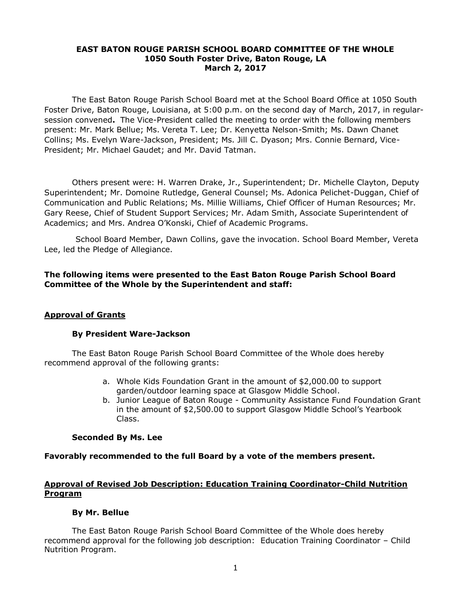## **EAST BATON ROUGE PARISH SCHOOL BOARD COMMITTEE OF THE WHOLE 1050 South Foster Drive, Baton Rouge, LA March 2, 2017**

The East Baton Rouge Parish School Board met at the School Board Office at 1050 South Foster Drive, Baton Rouge, Louisiana, at 5:00 p.m. on the second day of March, 2017, in regularsession convened**.** The Vice-President called the meeting to order with the following members present: Mr. Mark Bellue; Ms. Vereta T. Lee; Dr. Kenyetta Nelson-Smith; Ms. Dawn Chanet Collins; Ms. Evelyn Ware-Jackson, President; Ms. Jill C. Dyason; Mrs. Connie Bernard, Vice-President; Mr. Michael Gaudet; and Mr. David Tatman.

Others present were: H. Warren Drake, Jr., Superintendent; Dr. Michelle Clayton, Deputy Superintendent; Mr. Domoine Rutledge, General Counsel; Ms. Adonica Pelichet-Duggan, Chief of Communication and Public Relations; Ms. Millie Williams, Chief Officer of Human Resources; Mr. Gary Reese, Chief of Student Support Services; Mr. Adam Smith, Associate Superintendent of Academics; and Mrs. Andrea O'Konski, Chief of Academic Programs.

School Board Member, Dawn Collins, gave the invocation. School Board Member, Vereta Lee, led the Pledge of Allegiance.

# **The following items were presented to the East Baton Rouge Parish School Board Committee of the Whole by the Superintendent and staff:**

## **Approval of Grants**

## **By President Ware-Jackson**

The East Baton Rouge Parish School Board Committee of the Whole does hereby recommend approval of the following grants:

- a. Whole Kids Foundation Grant in the amount of \$2,000.00 to support garden/outdoor learning space at Glasgow Middle School.
- b. Junior League of Baton Rouge Community Assistance Fund Foundation Grant in the amount of \$2,500.00 to support Glasgow Middle School's Yearbook Class.

## **Seconded By Ms. Lee**

# **Favorably recommended to the full Board by a vote of the members present.**

# **Approval of Revised Job Description: Education Training Coordinator-Child Nutrition Program**

# **By Mr. Bellue**

The East Baton Rouge Parish School Board Committee of the Whole does hereby recommend approval for the following job description: Education Training Coordinator – Child Nutrition Program.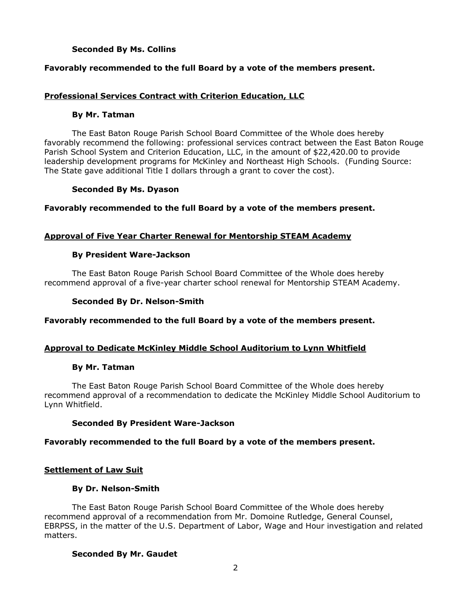# **Seconded By Ms. Collins**

# **Favorably recommended to the full Board by a vote of the members present.**

## **Professional Services Contract with Criterion Education, LLC**

#### **By Mr. Tatman**

The East Baton Rouge Parish School Board Committee of the Whole does hereby favorably recommend the following: professional services contract between the East Baton Rouge Parish School System and Criterion Education, LLC, in the amount of \$22,420.00 to provide leadership development programs for McKinley and Northeast High Schools. (Funding Source: The State gave additional Title I dollars through a grant to cover the cost).

## **Seconded By Ms. Dyason**

**Favorably recommended to the full Board by a vote of the members present.** 

## **Approval of Five Year Charter Renewal for Mentorship STEAM Academy**

## **By President Ware-Jackson**

The East Baton Rouge Parish School Board Committee of the Whole does hereby recommend approval of a five-year charter school renewal for Mentorship STEAM Academy.

#### **Seconded By Dr. Nelson-Smith**

**Favorably recommended to the full Board by a vote of the members present.** 

## **Approval to Dedicate McKinley Middle School Auditorium to Lynn Whitfield**

#### **By Mr. Tatman**

The East Baton Rouge Parish School Board Committee of the Whole does hereby recommend approval of a recommendation to dedicate the McKinley Middle School Auditorium to Lynn Whitfield.

## **Seconded By President Ware-Jackson**

## **Favorably recommended to the full Board by a vote of the members present.**

## **Settlement of Law Suit**

#### **By Dr. Nelson-Smith**

The East Baton Rouge Parish School Board Committee of the Whole does hereby recommend approval of a recommendation from Mr. Domoine Rutledge, General Counsel, EBRPSS, in the matter of the U.S. Department of Labor, Wage and Hour investigation and related matters.

## **Seconded By Mr. Gaudet**